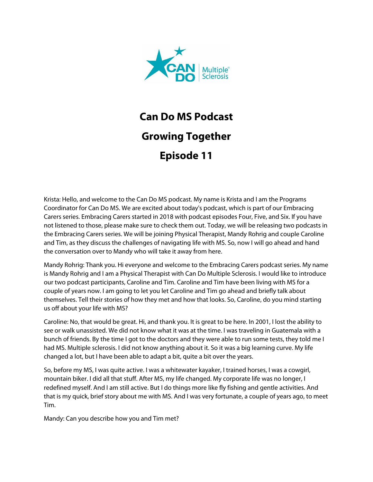

## **Can Do MS Podcast Growing Together Episode 11**

Krista: Hello, and welcome to the Can Do MS podcast. My name is Krista and I am the Programs Coordinator for Can Do MS. We are excited about today's podcast, which is part of our Embracing Carers series. Embracing Carers started in 2018 with podcast episodes Four, Five, and Six. If you have not listened to those, please make sure to check them out. Today, we will be releasing two podcasts in the Embracing Carers series. We will be joining Physical Therapist, Mandy Rohrig and couple Caroline and Tim, as they discuss the challenges of navigating life with MS. So, now I will go ahead and hand the conversation over to Mandy who will take it away from here.

Mandy Rohrig: Thank you. Hi everyone and welcome to the Embracing Carers podcast series. My name is Mandy Rohrig and I am a Physical Therapist with Can Do Multiple Sclerosis. I would like to introduce our two podcast participants, Caroline and Tim. Caroline and Tim have been living with MS for a couple of years now. I am going to let you let Caroline and Tim go ahead and briefly talk about themselves. Tell their stories of how they met and how that looks. So, Caroline, do you mind starting us off about your life with MS?

Caroline: No, that would be great. Hi, and thank you. It is great to be here. In 2001, I lost the ability to see or walk unassisted. We did not know what it was at the time. I was traveling in Guatemala with a bunch of friends. By the time I got to the doctors and they were able to run some tests, they told me I had MS. Multiple sclerosis. I did not know anything about it. So it was a big learning curve. My life changed a lot, but I have been able to adapt a bit, quite a bit over the years.

So, before my MS, I was quite active. I was a whitewater kayaker, I trained horses, I was a cowgirl, mountain biker. I did all that stuff. After MS, my life changed. My corporate life was no longer, I redefined myself. And I am still active. But I do things more like fly fishing and gentle activities. And that is my quick, brief story about me with MS. And I was very fortunate, a couple of years ago, to meet Tim.

Mandy: Can you describe how you and Tim met?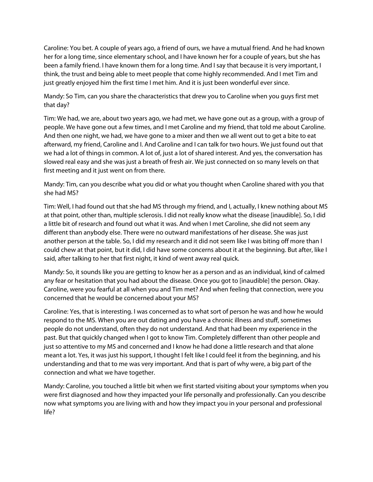Caroline: You bet. A couple of years ago, a friend of ours, we have a mutual friend. And he had known her for a long time, since elementary school, and I have known her for a couple of years, but she has been a family friend. I have known them for a long time. And I say that because it is very important, I think, the trust and being able to meet people that come highly recommended. And I met Tim and just greatly enjoyed him the first time I met him. And it is just been wonderful ever since.

Mandy: So Tim, can you share the characteristics that drew you to Caroline when you guys first met that day?

Tim: We had, we are, about two years ago, we had met, we have gone out as a group, with a group of people. We have gone out a few times, and I met Caroline and my friend, that told me about Caroline. And then one night, we had, we have gone to a mixer and then we all went out to get a bite to eat afterward, my friend, Caroline and I. And Caroline and I can talk for two hours. We just found out that we had a lot of things in common. A lot of, just a lot of shared interest. And yes, the conversation has slowed real easy and she was just a breath of fresh air. We just connected on so many levels on that first meeting and it just went on from there.

Mandy: Tim, can you describe what you did or what you thought when Caroline shared with you that she had MS?

Tim: Well, I had found out that she had MS through my friend, and I, actually, I knew nothing about MS at that point, other than, multiple sclerosis. I did not really know what the disease [inaudible]. So, I did a little bit of research and found out what it was. And when I met Caroline, she did not seem any different than anybody else. There were no outward manifestations of her disease. She was just another person at the table. So, I did my research and it did not seem like I was biting off more than I could chew at that point, but it did, I did have some concerns about it at the beginning. But after, like I said, after talking to her that first night, it kind of went away real quick.

Mandy: So, it sounds like you are getting to know her as a person and as an individual, kind of calmed any fear or hesitation that you had about the disease. Once you got to [inaudible] the person. Okay. Caroline, were you fearful at all when you and Tim met? And when feeling that connection, were you concerned that he would be concerned about your MS?

Caroline: Yes, that is interesting. I was concerned as to what sort of person he was and how he would respond to the MS. When you are out dating and you have a chronic illness and stuff, sometimes people do not understand, often they do not understand. And that had been my experience in the past. But that quickly changed when I got to know Tim. Completely different than other people and just so attentive to my MS and concerned and I know he had done a little research and that alone meant a lot. Yes, it was just his support, I thought I felt like I could feel it from the beginning, and his understanding and that to me was very important. And that is part of why were, a big part of the connection and what we have together.

Mandy: Caroline, you touched a little bit when we first started visiting about your symptoms when you were first diagnosed and how they impacted your life personally and professionally. Can you describe now what symptoms you are living with and how they impact you in your personal and professional life?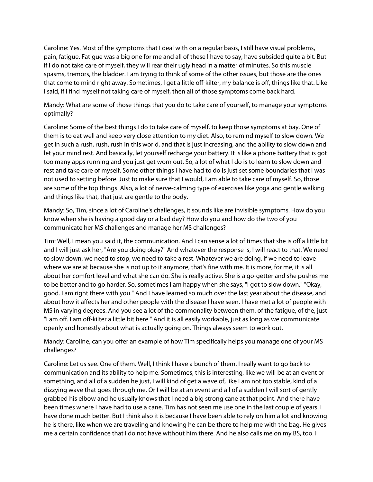Caroline: Yes. Most of the symptoms that I deal with on a regular basis, I still have visual problems, pain, fatigue. Fatigue was a big one for me and all of these I have to say, have subsided quite a bit. But if I do not take care of myself, they will rear their ugly head in a matter of minutes. So this muscle spasms, tremors, the bladder. I am trying to think of some of the other issues, but those are the ones that come to mind right away. Sometimes, I get a little off-kilter, my balance is off, things like that. Like I said, if I find myself not taking care of myself, then all of those symptoms come back hard.

Mandy: What are some of those things that you do to take care of yourself, to manage your symptoms optimally?

Caroline: Some of the best things I do to take care of myself, to keep those symptoms at bay. One of them is to eat well and keep very close attention to my diet. Also, to remind myself to slow down. We get in such a rush, rush, rush in this world, and that is just increasing, and the ability to slow down and let your mind rest. And basically, let yourself recharge your battery. It is like a phone battery that is got too many apps running and you just get worn out. So, a lot of what I do is to learn to slow down and rest and take care of myself. Some other things I have had to do is just set some boundaries that I was not used to setting before. Just to make sure that I would, I am able to take care of myself. So, those are some of the top things. Also, a lot of nerve-calming type of exercises like yoga and gentle walking and things like that, that just are gentle to the body.

Mandy: So, Tim, since a lot of Caroline's challenges, it sounds like are invisible symptoms. How do you know when she is having a good day or a bad day? How do you and how do the two of you communicate her MS challenges and manage her MS challenges?

Tim: Well, I mean you said it, the communication. And I can sense a lot of times that she is off a little bit and I will just ask her, "Are you doing okay?" And whatever the response is, I will react to that. We need to slow down, we need to stop, we need to take a rest. Whatever we are doing, if we need to leave where we are at because she is not up to it anymore, that's fine with me. It is more, for me, it is all about her comfort level and what she can do. She is really active. She is a go-getter and she pushes me to be better and to go harder. So, sometimes I am happy when she says, "I got to slow down." "Okay, good. I am right there with you." And I have learned so much over the last year about the disease, and about how it affects her and other people with the disease I have seen. I have met a lot of people with MS in varying degrees. And you see a lot of the commonality between them, of the fatigue, of the, just "I am off. I am off-kilter a little bit here." And it is all easily workable, just as long as we communicate openly and honestly about what is actually going on. Things always seem to work out.

Mandy: Caroline, can you offer an example of how Tim specifically helps you manage one of your MS challenges?

Caroline: Let us see. One of them. Well, I think I have a bunch of them. I really want to go back to communication and its ability to help me. Sometimes, this is interesting, like we will be at an event or something, and all of a sudden he just, I will kind of get a wave of, like I am not too stable, kind of a dizzying wave that goes through me. Or I will be at an event and all of a sudden I will sort of gently grabbed his elbow and he usually knows that I need a big strong cane at that point. And there have been times where I have had to use a cane. Tim has not seen me use one in the last couple of years. I have done much better. But I think also it is because I have been able to rely on him a lot and knowing he is there, like when we are traveling and knowing he can be there to help me with the bag. He gives me a certain confidence that I do not have without him there. And he also calls me on my BS, too. I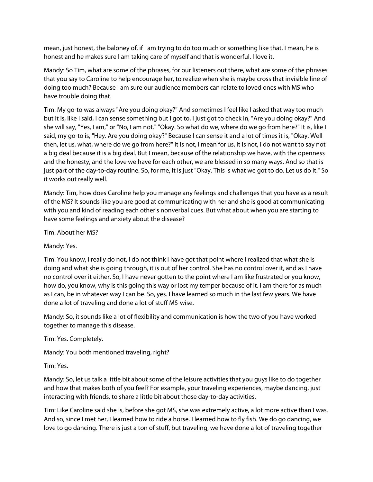mean, just honest, the baloney of, if I am trying to do too much or something like that. I mean, he is honest and he makes sure I am taking care of myself and that is wonderful. I love it.

Mandy: So Tim, what are some of the phrases, for our listeners out there, what are some of the phrases that you say to Caroline to help encourage her, to realize when she is maybe cross that invisible line of doing too much? Because I am sure our audience members can relate to loved ones with MS who have trouble doing that.

Tim: My go-to was always "Are you doing okay?" And sometimes I feel like I asked that way too much but it is, like I said, I can sense something but I got to, I just got to check in, "Are you doing okay?" And she will say, "Yes, I am," or "No, I am not." "Okay. So what do we, where do we go from here?" It is, like I said, my go-to is, "Hey. Are you doing okay?" Because I can sense it and a lot of times it is, "Okay. Well then, let us, what, where do we go from here?" It is not, I mean for us, it is not, I do not want to say not a big deal because it is a big deal. But I mean, because of the relationship we have, with the openness and the honesty, and the love we have for each other, we are blessed in so many ways. And so that is just part of the day-to-day routine. So, for me, it is just "Okay. This is what we got to do. Let us do it." So it works out really well.

Mandy: Tim, how does Caroline help you manage any feelings and challenges that you have as a result of the MS? It sounds like you are good at communicating with her and she is good at communicating with you and kind of reading each other's nonverbal cues. But what about when you are starting to have some feelings and anxiety about the disease?

Tim: About her MS?

Mandy: Yes.

Tim: You know, I really do not, I do not think I have got that point where I realized that what she is doing and what she is going through, it is out of her control. She has no control over it, and as I have no control over it either. So, I have never gotten to the point where I am like frustrated or you know, how do, you know, why is this going this way or lost my temper because of it. I am there for as much as I can, be in whatever way I can be. So, yes. I have learned so much in the last few years. We have done a lot of traveling and done a lot of stuff MS-wise.

Mandy: So, it sounds like a lot of flexibility and communication is how the two of you have worked together to manage this disease.

Tim: Yes. Completely.

Mandy: You both mentioned traveling, right?

Tim: Yes.

Mandy: So, let us talk a little bit about some of the leisure activities that you guys like to do together and how that makes both of you feel? For example, your traveling experiences, maybe dancing, just interacting with friends, to share a little bit about those day-to-day activities.

Tim: Like Caroline said she is, before she got MS, she was extremely active, a lot more active than I was. And so, since I met her, I learned how to ride a horse. I learned how to fly fish. We do go dancing, we love to go dancing. There is just a ton of stuff, but traveling, we have done a lot of traveling together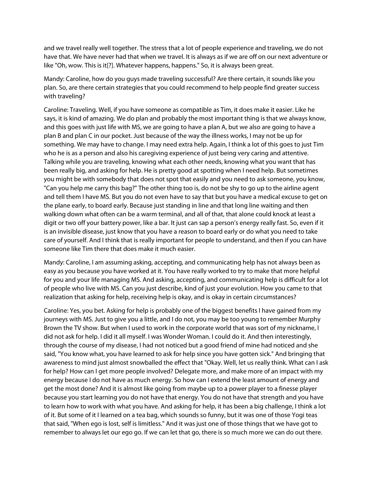and we travel really well together. The stress that a lot of people experience and traveling, we do not have that. We have never had that when we travel. It is always as if we are off on our next adventure or like "Oh, wow. This is it[?]. Whatever happens, happens." So, it is always been great.

Mandy: Caroline, how do you guys made traveling successful? Are there certain, it sounds like you plan. So, are there certain strategies that you could recommend to help people find greater success with traveling?

Caroline: Traveling. Well, if you have someone as compatible as Tim, it does make it easier. Like he says, it is kind of amazing. We do plan and probably the most important thing is that we always know, and this goes with just life with MS, we are going to have a plan A, but we also are going to have a plan B and plan C in our pocket. Just because of the way the illness works, I may not be up for something. We may have to change. I may need extra help. Again, I think a lot of this goes to just Tim who he is as a person and also his caregiving experience of just being very caring and attentive. Talking while you are traveling, knowing what each other needs, knowing what you want that has been really big, and asking for help. He is pretty good at spotting when I need help. But sometimes you might be with somebody that does not spot that easily and you need to ask someone, you know, "Can you help me carry this bag?" The other thing too is, do not be shy to go up to the airline agent and tell them I have MS. But you do not even have to say that but you have a medical excuse to get on the plane early, to board early. Because just standing in line and that long line waiting and then walking down what often can be a warm terminal, and all of that, that alone could knock at least a digit or two off your battery power, like a bar. It just can sap a person's energy really fast. So, even if it is an invisible disease, just know that you have a reason to board early or do what you need to take care of yourself. And I think that is really important for people to understand, and then if you can have someone like Tim there that does make it much easier.

Mandy: Caroline, I am assuming asking, accepting, and communicating help has not always been as easy as you because you have worked at it. You have really worked to try to make that more helpful for you and your life managing MS. And asking, accepting, and communicating help is difficult for a lot of people who live with MS. Can you just describe, kind of just your evolution. How you came to that realization that asking for help, receiving help is okay, and is okay in certain circumstances?

Caroline: Yes, you bet. Asking for help is probably one of the biggest benefits I have gained from my journeys with MS. Just to give you a little, and I do not, you may be too young to remember Murphy Brown the TV show. But when I used to work in the corporate world that was sort of my nickname, I did not ask for help. I did it all myself. I was Wonder Woman. I could do it. And then interestingly, through the course of my disease, I had not noticed but a good friend of mine had noticed and she said, "You know what, you have learned to ask for help since you have gotten sick." And bringing that awareness to mind just almost snowballed the effect that "Okay. Well, let us really think. What can I ask for help? How can I get more people involved? Delegate more, and make more of an impact with my energy because I do not have as much energy. So how can I extend the least amount of energy and get the most done? And it is almost like going from maybe up to a power player to a finesse player because you start learning you do not have that energy. You do not have that strength and you have to learn how to work with what you have. And asking for help, it has been a big challenge, I think a lot of it. But some of it I learned on a tea bag, which sounds so funny, but it was one of those Yogi teas that said, "When ego is lost, self is limitless." And it was just one of those things that we have got to remember to always let our ego go. If we can let that go, there is so much more we can do out there.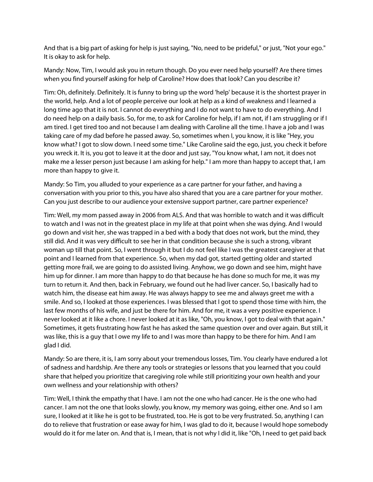And that is a big part of asking for help is just saying, "No, need to be prideful," or just, "Not your ego." It is okay to ask for help.

Mandy: Now, Tim, I would ask you in return though. Do you ever need help yourself? Are there times when you find yourself asking for help of Caroline? How does that look? Can you describe it?

Tim: Oh, definitely. Definitely. It is funny to bring up the word 'help' because it is the shortest prayer in the world, help. And a lot of people perceive our look at help as a kind of weakness and I learned a long time ago that it is not. I cannot do everything and I do not want to have to do everything. And I do need help on a daily basis. So, for me, to ask for Caroline for help, if I am not, if I am struggling or if I am tired. I get tired too and not because I am dealing with Caroline all the time. I have a job and I was taking care of my dad before he passed away. So, sometimes when I, you know, it is like "Hey, you know what? I got to slow down. I need some time." Like Caroline said the ego, just, you check it before you wreck it. It is, you got to leave it at the door and just say, "You know what, I am not, it does not make me a lesser person just because I am asking for help." I am more than happy to accept that, I am more than happy to give it.

Mandy: So Tim, you alluded to your experience as a care partner for your father, and having a conversation with you prior to this, you have also shared that you are a care partner for your mother. Can you just describe to our audience your extensive support partner, care partner experience?

Tim: Well, my mom passed away in 2006 from ALS. And that was horrible to watch and it was difficult to watch and I was not in the greatest place in my life at that point when she was dying. And I would go down and visit her, she was trapped in a bed with a body that does not work, but the mind, they still did. And it was very difficult to see her in that condition because she is such a strong, vibrant woman up till that point. So, I went through it but I do not feel like I was the greatest caregiver at that point and I learned from that experience. So, when my dad got, started getting older and started getting more frail, we are going to do assisted living. Anyhow, we go down and see him, might have him up for dinner. I am more than happy to do that because he has done so much for me, it was my turn to return it. And then, back in February, we found out he had liver cancer. So, I basically had to watch him, the disease eat him away. He was always happy to see me and always greet me with a smile. And so, I looked at those experiences. I was blessed that I got to spend those time with him, the last few months of his wife, and just be there for him. And for me, it was a very positive experience. I never looked at it like a chore. I never looked at it as like, "Oh, you know, I got to deal with that again." Sometimes, it gets frustrating how fast he has asked the same question over and over again. But still, it was like, this is a guy that I owe my life to and I was more than happy to be there for him. And I am glad I did.

Mandy: So are there, it is, I am sorry about your tremendous losses, Tim. You clearly have endured a lot of sadness and hardship. Are there any tools or strategies or lessons that you learned that you could share that helped you prioritize that caregiving role while still prioritizing your own health and your own wellness and your relationship with others?

Tim: Well, I think the empathy that I have. I am not the one who had cancer. He is the one who had cancer. I am not the one that looks slowly, you know, my memory was going, either one. And so I am sure, I looked at it like he is got to be frustrated, too. He is got to be very frustrated. So, anything I can do to relieve that frustration or ease away for him, I was glad to do it, because I would hope somebody would do it for me later on. And that is, I mean, that is not why I did it, like "Oh, I need to get paid back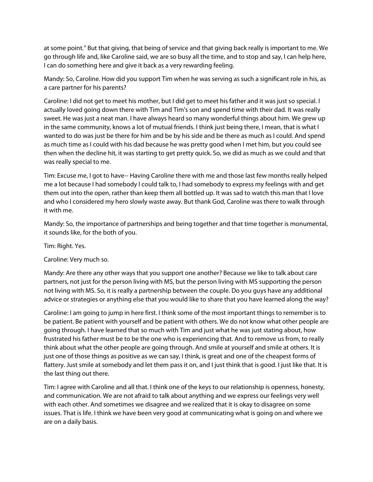at some point." But that giving, that being of service and that giving back really is important to me. We go through life and, like Caroline said, we are so busy all the time, and to stop and say, I can help here, I can do something here and give it back as a very rewarding feeling.

Mandy: So, Caroline. How did you support Tim when he was serving as such a significant role in his, as a care partner for his parents?

Caroline: I did not get to meet his mother, but I did get to meet his father and it was just so special. I actually loved going down there with Tim and Tim's son and spend time with their dad. It was really sweet. He was just a neat man. I have always heard so many wonderful things about him. We grew up in the same community, knows a lot of mutual friends. I think just being there, I mean, that is what I wanted to do was just be there for him and be by his side and be there as much as I could. And spend as much time as I could with his dad because he was pretty good when I met him, but you could see then when the decline hit, it was starting to get pretty quick. So, we did as much as we could and that was really special to me.

Tim: Excuse me, I got to have-- Having Caroline there with me and those last few months really helped me a lot because I had somebody I could talk to, I had somebody to express my feelings with and get them out into the open, rather than keep them all bottled up. It was sad to watch this man that I love and who I considered my hero slowly waste away. But thank God, Caroline was there to walk through it with me.

Mandy: So, the importance of partnerships and being together and that time together is monumental, it sounds like, for the both of you.

Tim: Right. Yes.

## Caroline: Very much so.

Mandy: Are there any other ways that you support one another? Because we like to talk about care partners, not just for the person living with MS, but the person living with MS supporting the person not living with MS. So, it is really a partnership between the couple. Do you guys have any additional advice or strategies or anything else that you would like to share that you have learned along the way?

Caroline: I am going to jump in here first. I think some of the most important things to remember is to be patient. Be patient with yourself and be patient with others. We do not know what other people are going through. I have learned that so much with Tim and just what he was just stating about, how frustrated his father must be to be the one who is experiencing that. And to remove us from, to really think about what the other people are going through. And smile at yourself and smile at others. It is just one of those things as positive as we can say, I think, is great and one of the cheapest forms of flattery. Just smile at somebody and let them pass it on, and I just think that is good. I just like that. It is the last thing out there.

Tim: I agree with Caroline and all that. I think one of the keys to our relationship is openness, honesty, and communication. We are not afraid to talk about anything and we express our feelings very well with each other. And sometimes we disagree and we realized that it is okay to disagree on some issues. That is life. I think we have been very good at communicating what is going on and where we are on a daily basis.